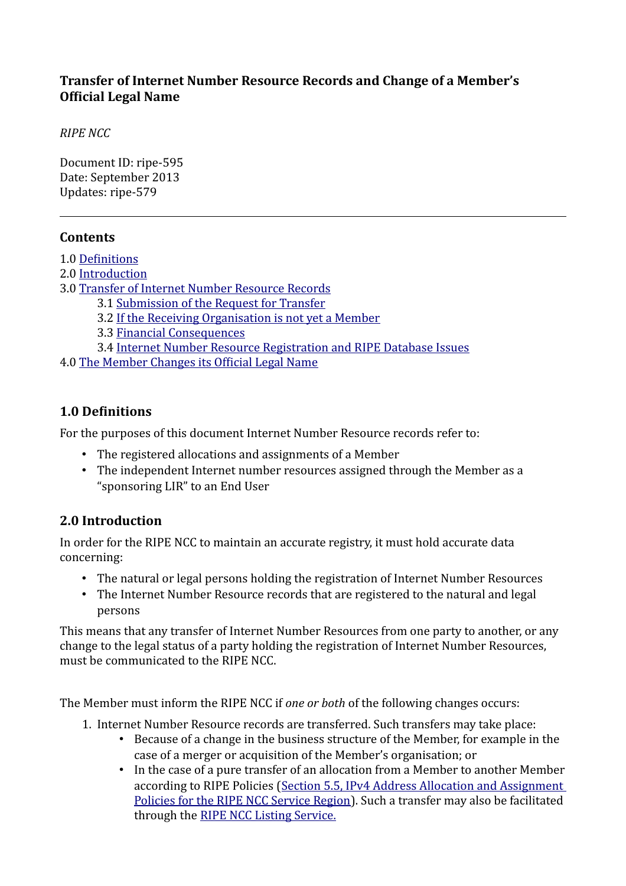## **Transfer of Internet Number Resource Records and Change of a Member's Official Legal Name**

*RIPE NCC*

Document ID: ripe-595 Date: September 2013 Updates: ripe-579

#### **Contents**

- 1.0 [Definitions](#page-0-0)
- 2.0 [Introduction](#page-0-1)
- 3.0 [Transfer of Internet Number Resource Records](#page-1-1)
	- 3.1 [Submission of the Request for Transfer](#page-1-0)
	- 3.2 [If the Receiving Organisation is not yet a Member](#page-3-3)
	- 3.3 [Financial Consequences](#page-3-2)
	- 3.4 [Internet Number Resource Registration and RIPE Database Issues](#page-3-1)

4.0 [The Member Changes its Official Legal Name](#page-3-0)

## <span id="page-0-0"></span>**1.0 Definitions**

For the purposes of this document Internet Number Resource records refer to:

- The registered allocations and assignments of a Member
- The independent Internet number resources assigned through the Member as a "sponsoring LIR" to an End User

## <span id="page-0-1"></span>**2.0 Introduction**

In order for the RIPE NCC to maintain an accurate registry, it must hold accurate data concerning:

- The natural or legal persons holding the registration of Internet Number Resources
- The Internet Number Resource records that are registered to the natural and legal persons

This means that any transfer of Internet Number Resources from one party to another, or any change to the legal status of a party holding the registration of Internet Number Resources, must be communicated to the RIPE NCC.

The Member must inform the RIPE NCC if *one or both* of the following changes occurs:

- 1. Internet Number Resource records are transferred. Such transfers may take place:
	- Because of a change in the business structure of the Member, for example in the case of a merger or acquisition of the Member's organisation; or
	- In the case of a pure transfer of an allocation from a Member to another Member according to RIPE Policies (Section 5.5, IPv4 Address Allocation and Assignment [Policies for the RIPE NCC Service Region\)](https://www.ripe.net/ripe/docs/ipv4-policies#Transfers-of-Allocations). Such a transfer may also be facilitated through the [RIPE NCC Listing Service.](https://www.ripe.net/lir-services/resource-management/listing)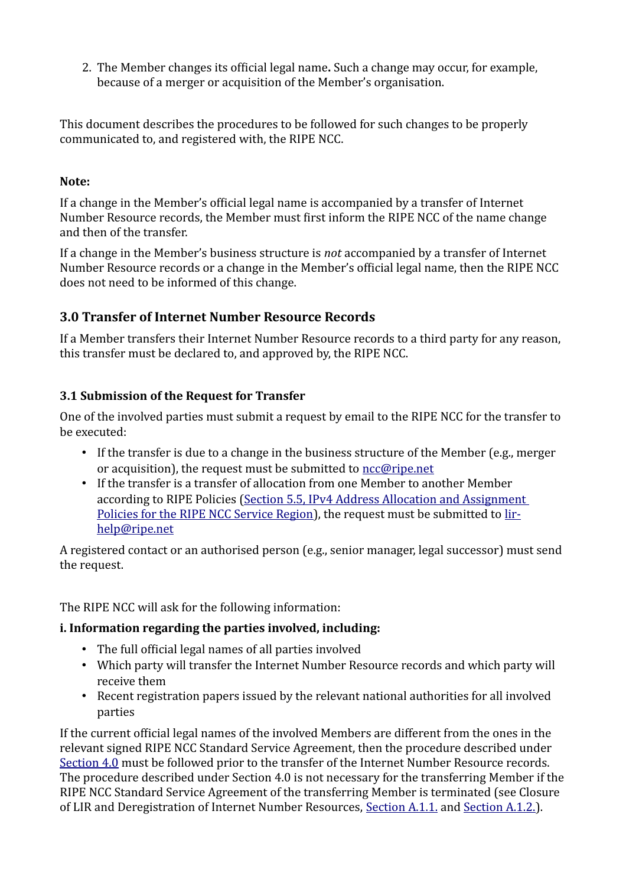2. The Member changes its official legal name**.** Such a change may occur, for example, because of a merger or acquisition of the Member's organisation.

This document describes the procedures to be followed for such changes to be properly communicated to, and registered with, the RIPE NCC.

#### **Note:**

If a change in the Member's official legal name is accompanied by a transfer of Internet Number Resource records, the Member must first inform the RIPE NCC of the name change and then of the transfer.

If a change in the Member's business structure is *not* accompanied by a transfer of Internet Number Resource records or a change in the Member's official legal name, then the RIPE NCC does not need to be informed of this change.

## <span id="page-1-1"></span>**3.0 Transfer of Internet Number Resource Records**

If a Member transfers their Internet Number Resource records to a third party for any reason, this transfer must be declared to, and approved by, the RIPE NCC.

#### <span id="page-1-0"></span>**3.1 Submission of the Request for Transfer**

One of the involved parties must submit a request by email to the RIPE NCC for the transfer to be executed:

- If the transfer is due to a change in the business structure of the Member (e.g., merger or acquisition), the request must be submitted to [ncc@ripe.net](mailto:ncc@ripe.net)
- If the transfer is a transfer of allocation from one Member to another Member according to RIPE Policies [\(Section 5.5, IPv4 Address Allocation and Assignment](https://www.ripe.net/ripe/docs/ipv4-policies#Transfers-of-Allocations)  [Policies for the RIPE NCC Service Region\)](https://www.ripe.net/ripe/docs/ipv4-policies#Transfers-of-Allocations), the request must be submitted to [lir](mailto:lir-help@ripe.net)[help@ripe.net](mailto:lir-help@ripe.net)

A registered contact or an authorised person (e.g., senior manager, legal successor) must send the request.

The RIPE NCC will ask for the following information:

#### **i. Information regarding the parties involved, including:**

- The full official legal names of all parties involved
- Which party will transfer the Internet Number Resource records and which party will receive them
- Recent registration papers issued by the relevant national authorities for all involved parties

If the current official legal names of the involved Members are different from the ones in the relevant signed RIPE NCC Standard Service Agreement, then the procedure described under [Section 4.0](#page-3-0) must be followed prior to the transfer of the Internet Number Resource records. The procedure described under Section 4.0 is not necessary for the transferring Member if the RIPE NCC Standard Service Agreement of the transferring Member is terminated (see Closure of LIR and Deregistration of Internet Number Resources, [Section A.1.1.](https://www.ripe.net/ripe/docs/closure#11) and [Section A.1.2.\)](https://www.ripe.net/ripe/docs/closure#12).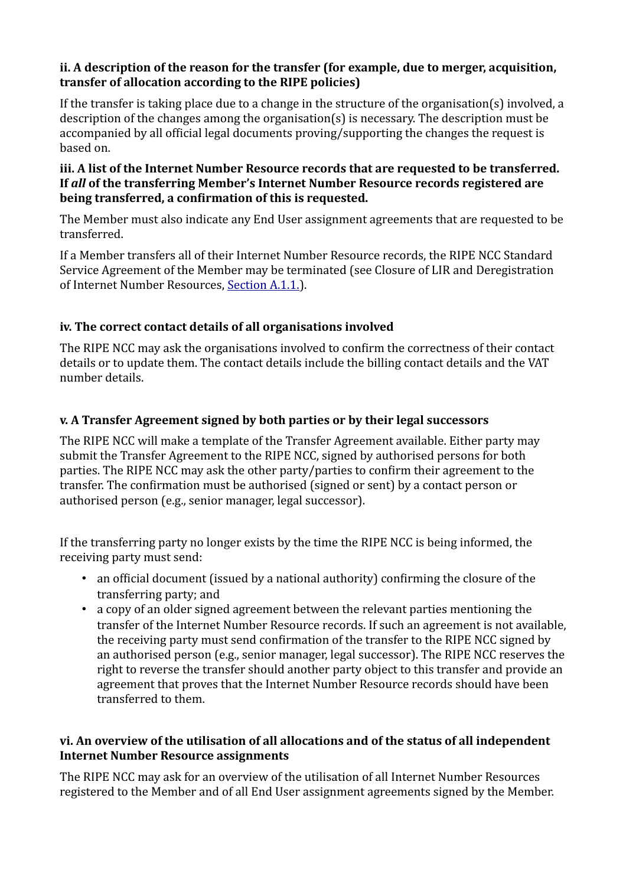#### **ii. A description of the reason for the transfer (for example, due to merger, acquisition, transfer of allocation according to the RIPE policies)**

If the transfer is taking place due to a change in the structure of the organisation(s) involved, a description of the changes among the organisation(s) is necessary. The description must be accompanied by all official legal documents proving/supporting the changes the request is based on.

#### **iii. A list of the Internet Number Resource records that are requested to be transferred. If** *all* **of the transferring Member's Internet Number Resource records registered are being transferred, a confirmation of this is requested.**

The Member must also indicate any End User assignment agreements that are requested to be transferred.

If a Member transfers all of their Internet Number Resource records, the RIPE NCC Standard Service Agreement of the Member may be terminated (see Closure of LIR and Deregistration of Internet Number Resources, [Section A.1.1.\)](https://www.ripe.net/ripe/docs/closure#11).

## **iv. The correct contact details of all organisations involved**

The RIPE NCC may ask the organisations involved to confirm the correctness of their contact details or to update them. The contact details include the billing contact details and the VAT number details.

## **v. A Transfer Agreement signed by both parties or by their legal successors**

The RIPE NCC will make a template of the Transfer Agreement available. Either party may submit the Transfer Agreement to the RIPE NCC, signed by authorised persons for both parties. The RIPE NCC may ask the other party/parties to confirm their agreement to the transfer. The confirmation must be authorised (signed or sent) by a contact person or authorised person (e.g., senior manager, legal successor).

If the transferring party no longer exists by the time the RIPE NCC is being informed, the receiving party must send:

- an official document (issued by a national authority) confirming the closure of the transferring party; and
- a copy of an older signed agreement between the relevant parties mentioning the transfer of the Internet Number Resource records. If such an agreement is not available, the receiving party must send confirmation of the transfer to the RIPE NCC signed by an authorised person (e.g., senior manager, legal successor). The RIPE NCC reserves the right to reverse the transfer should another party object to this transfer and provide an agreement that proves that the Internet Number Resource records should have been transferred to them.

#### **vi. An overview of the utilisation of all allocations and of the status of all independent Internet Number Resource assignments**

The RIPE NCC may ask for an overview of the utilisation of all Internet Number Resources registered to the Member and of all End User assignment agreements signed by the Member.